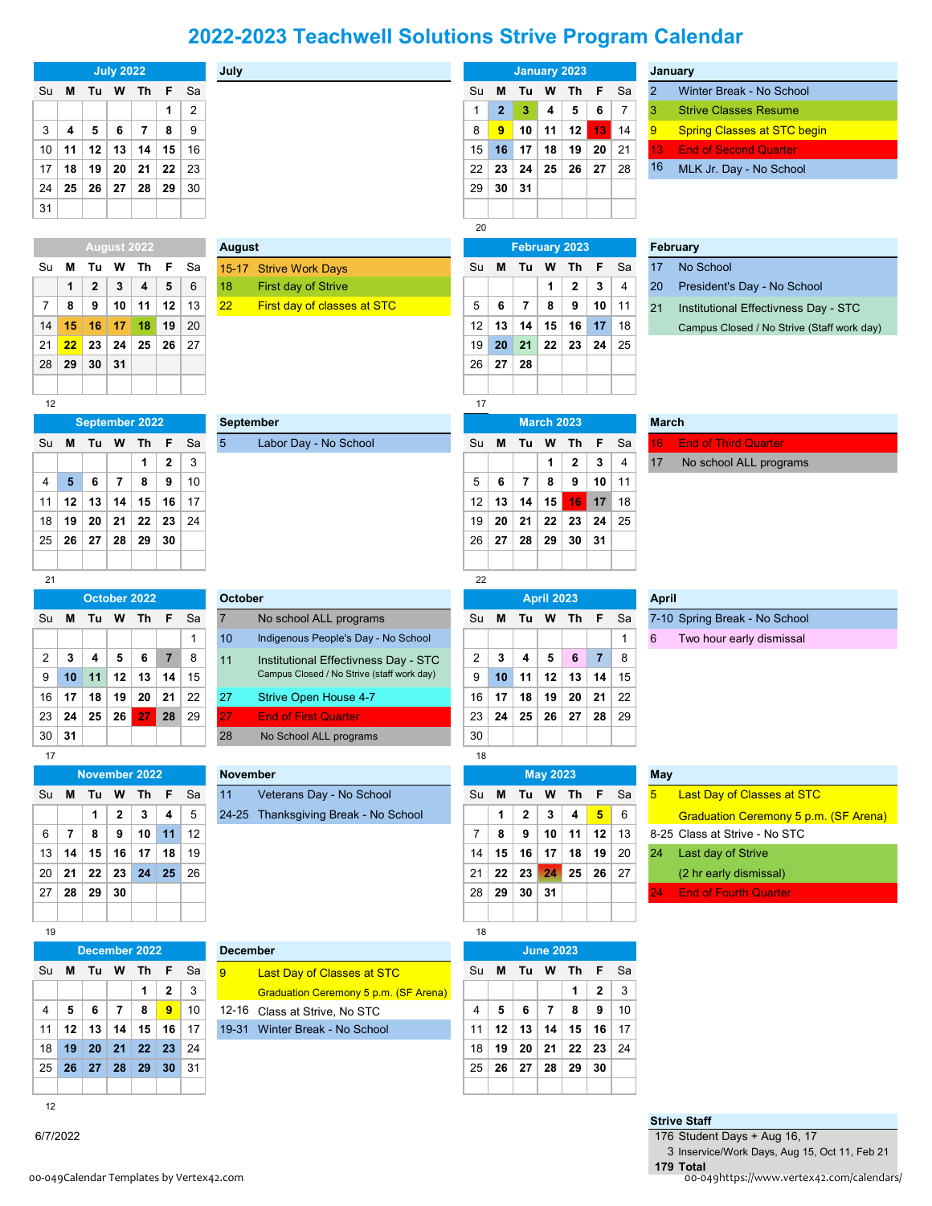## **2022-2023 Teachwell Solutions Strive Program Calendar**

|              | <b>July 2022</b> |                 |                         |                         |                  |                | July                                |                                                                 | <b>January 2023</b> |              |              |                        |                        |                         |                | January            |                                              |
|--------------|------------------|-----------------|-------------------------|-------------------------|------------------|----------------|-------------------------------------|-----------------------------------------------------------------|---------------------|--------------|--------------|------------------------|------------------------|-------------------------|----------------|--------------------|----------------------------------------------|
| Su           | M                | Tu              | W                       | Th                      | F                | Sa             |                                     |                                                                 | Su                  | M            | Tu           | W                      | Th                     | F                       | Sa             | $\overline{2}$     | Winter Break - No School                     |
|              |                  |                 |                         |                         | 1                | $\overline{c}$ |                                     |                                                                 | 1                   | $\mathbf{2}$ | 3            | 4                      | 5                      | 6                       | $\overline{7}$ | 3                  | <b>Strive Classes Resume</b>                 |
| 3            | 4                | 5               | 6                       | $\overline{\mathbf{r}}$ | 8                | 9              |                                     |                                                                 | 8                   | 9            | 10           | 11                     | 12                     | 13                      | 14             | 9                  | <b>Spring Classes at STC begin</b>           |
| 10           | 11               | 12              | 13                      | 14                      | 15               | 16             |                                     |                                                                 | 15                  | 16           | 17           | 18                     | 19                     | 20                      | 21             | 13                 | <b>End of Second Quarter</b>                 |
| 17           | 18               | 19              | 20                      | 21                      | 22               | 23             |                                     |                                                                 | 22                  | 23           | 24           | 25                     | 26                     | 27                      | 28             | 16                 | MLK Jr. Day - No School                      |
| 24           | 25               | 26              | 27                      | 28                      | 29               | 30             |                                     |                                                                 | 29                  | 30           | 31           |                        |                        |                         |                |                    |                                              |
| 31           |                  |                 |                         |                         |                  |                |                                     |                                                                 |                     |              |              |                        |                        |                         |                |                    |                                              |
|              |                  |                 |                         |                         |                  |                | 20                                  |                                                                 |                     |              |              |                        |                        |                         |                |                    |                                              |
|              |                  |                 |                         | August 2022             |                  |                | August                              |                                                                 |                     |              |              |                        | <b>February 2023</b>   |                         |                | February           |                                              |
| Su           | M                | Tu              | w                       | Τh                      | F                | Sa             |                                     | 15-17 Strive Work Days                                          | Su                  | M            | Tu           | W                      | Th                     | F                       | Sa             | 17                 | No School                                    |
|              | 1                | 2               | 3                       | 4                       | 5                | $6\,$          | 18                                  | First day of Strive                                             |                     |              |              | 1                      | $\mathbf{2}$           | 3                       | 4              | 20                 | President's Day - No School                  |
| 7            | 8                | 9               | 10                      | 11                      | 12               | 13             | 22                                  | First day of classes at STC                                     | 5                   | 6            | 7            | 8                      | 9                      | 10                      | 11             | 21                 | Institutional Effectivness Day - STC         |
| 14           | 15               | 16              | 17                      | 18                      | 19               | 20             |                                     |                                                                 | 12                  | 13           | 14           | 15                     | 16                     | 17                      | 18             |                    | Campus Closed / No Strive (Staff work day)   |
| 21           | 22               | 23              | 24                      | 25                      | 26               | 27             |                                     |                                                                 | 19                  | 20           | 21           | 22                     | 23                     | 24                      | 25             |                    |                                              |
| 28           | 29               | 30              | 31                      |                         |                  |                |                                     |                                                                 | 26                  | 27           | ${\bf 28}$   |                        |                        |                         |                |                    |                                              |
|              |                  |                 |                         |                         |                  |                |                                     |                                                                 |                     |              |              |                        |                        |                         |                |                    |                                              |
| 12           |                  |                 |                         |                         |                  |                |                                     |                                                                 | 17                  |              |              |                        |                        |                         |                |                    |                                              |
|              |                  |                 |                         | September 2022          |                  |                | <b>September</b><br>$5\overline{)}$ | Labor Day - No School                                           |                     | M            |              | <b>March 2023</b><br>W |                        |                         | Sa             | <b>March</b><br>16 | <b>End of Third Quarter</b>                  |
| Su           | M                | Tu              | W                       | Th<br>1                 | F<br>$\mathbf 2$ | Sa<br>3        |                                     |                                                                 | Su                  |              | Tu           | 1                      | Th<br>$\boldsymbol{2}$ | F<br>3                  | 4              | 17                 |                                              |
| 4            | 5                | 6               | $\overline{\mathbf{r}}$ | 8                       | 9                | 10             |                                     |                                                                 | 5                   | 6            | 7            | 8                      | 9                      | 10                      | 11             |                    | No school ALL programs                       |
| 11           | 12               | 13              | 14                      | 15                      | 16               | 17             |                                     |                                                                 | 12                  | 13           | 14           | 15                     | 16                     | 17                      | 18             |                    |                                              |
| 18           | 19               | 20              | 21                      | 22                      | 23               | 24             |                                     |                                                                 | 19                  | 20           | 21           | 22                     | 23                     | 24                      | 25             |                    |                                              |
| 25           | 26               | 27              | 28                      | 29                      | 30               |                |                                     |                                                                 | 26                  | 27           | 28           | 29                     | 30                     | 31                      |                |                    |                                              |
|              |                  |                 |                         |                         |                  |                |                                     |                                                                 |                     |              |              |                        |                        |                         |                |                    |                                              |
| 21           |                  |                 |                         |                         |                  |                |                                     |                                                                 |                     |              |              |                        |                        |                         |                |                    |                                              |
| October 2022 |                  |                 |                         |                         |                  |                |                                     | 22                                                              |                     |              |              |                        |                        |                         |                |                    |                                              |
|              |                  |                 |                         |                         |                  |                | <b>October</b>                      |                                                                 |                     |              |              | <b>April 2023</b>      |                        |                         |                | <b>April</b>       |                                              |
| Su           | M                | Tu              | W                       | Th                      | F                | Sa             | $\overline{7}$                      | No school ALL programs                                          | Su                  | м            | Tu           | W                      | Th                     | F                       | Sa             |                    | 7-10 Spring Break - No School                |
|              |                  |                 |                         |                         |                  | $\mathbf{1}$   | 10 <sup>1</sup>                     | Indigenous People's Day - No School                             |                     |              |              |                        |                        |                         | 1              | 6                  | Two hour early dismissal                     |
| 2            | 3                | 4               | 5                       | 6                       | $\overline{7}$   | 8              | 11                                  | Institutional Effectivness Day - STC                            | 2                   | 3            | 4            | 5                      | 6                      | $\overline{7}$          | 8              |                    |                                              |
| 9            | 10               | 11              | 12                      | 13                      | 14               | 15             |                                     | Campus Closed / No Strive (staff work day)                      | 9                   | 10           | 11           | 12                     | 13                     | 14                      | 15             |                    |                                              |
| 16           | 17               | 18              | 19                      | 20                      | 21               | 22             | 27                                  | Strive Open House 4-7                                           | 16                  | 17           | 18           | 19                     | 20                     | 21                      | 22             |                    |                                              |
| 23           | 24               | 25              | 26                      | 27                      | 28               | 29             | 27                                  | <b>End of First Quarter</b>                                     | 23                  | 24           | 25           | 26                     | 27                     | 28                      | 29             |                    |                                              |
| 30           | 31               |                 |                         |                         |                  |                | 28                                  | No School ALL programs                                          | 30                  |              |              |                        |                        |                         |                |                    |                                              |
| 17           |                  |                 |                         |                         |                  |                |                                     |                                                                 | 18                  |              |              |                        |                        |                         |                |                    |                                              |
|              |                  |                 |                         | November 2022           |                  |                | November                            |                                                                 |                     |              |              | <b>May 2023</b>        |                        |                         |                | May                |                                              |
| Su           | M                | Tu              | W                       | Th                      | F                | Sa             | 11                                  | Veterans Day - No School                                        | Su                  | М            | Tu W         |                        | Th                     | - F                     | Sa             | 5 <sup>5</sup>     | Last Day of Classes at STC                   |
|              |                  | 1               | 2                       | 3                       | 4                | 5              |                                     | 24-25 Thanksgiving Break - No School                            |                     | 1            | $\mathbf{2}$ | 3                      | 4                      | $\overline{\mathbf{5}}$ | 6              |                    | <b>Graduation Ceremony 5 p.m. (SF Arena)</b> |
| 6            | $\overline{7}$   | 8               | 9                       | 10                      | 11               | 12             |                                     |                                                                 | $\overline{7}$      | 8            | 9            | 10                     | 11                     | 12                      | 13             |                    | 8-25 Class at Strive - No STC                |
| 13           | 14               | 15              | 16                      | 17                      | 18               | 19             |                                     |                                                                 | 14                  | 15           | 16           | 17                     | 18                     | 19                      | 20             | 24                 | Last day of Strive                           |
| 20           | 21               | 22              | 23                      | 24                      | 25               | 26             |                                     |                                                                 | 21                  | 22           | 23           | 24                     | 25                     | 26                      | 27             |                    | (2 hr early dismissal)                       |
| 27           | 28               | 29 <sup>°</sup> | 30                      |                         |                  |                |                                     |                                                                 | 28                  | 29           | 30           | 31                     |                        |                         |                | 24                 | <b>End of Fourth Quarter</b>                 |
|              |                  |                 |                         |                         |                  |                |                                     |                                                                 |                     |              |              |                        |                        |                         |                |                    |                                              |
| 19           |                  |                 |                         |                         |                  |                |                                     |                                                                 | 18                  |              |              |                        |                        |                         |                |                    |                                              |
|              |                  |                 |                         | December 2022           |                  |                | <b>December</b>                     |                                                                 |                     |              |              | <b>June 2023</b>       |                        |                         |                |                    |                                              |
| Su           | M                | Tu W Th         |                         |                         | F                | Sa             | 9                                   | Last Day of Classes at STC                                      | Su                  | М            | Tu W         |                        | Th                     | F                       | Sa             |                    |                                              |
|              |                  |                 |                         | 1                       | 2                | 3              |                                     | Graduation Ceremony 5 p.m. (SF Arena)                           |                     |              |              |                        | 1                      | $\boldsymbol{2}$<br>9   | 3              |                    |                                              |
| 4<br>11      | 5                | 6               | $\overline{7}$          | 8                       | 9                | 10             |                                     | 12-16 Class at Strive, No STC<br>19-31 Winter Break - No School | 4<br>11             | 5            | 6            | $\overline{7}$         | 8                      |                         | 10<br>17       |                    |                                              |
| 18           | 12<br>19         | 13              | 14<br>21                | 15<br>22                | 16<br>23         | 17<br>24       |                                     |                                                                 | 18                  | 12<br>19     | 13<br>20     | 14<br>21               | 15<br>22               | 16<br>23                | 24             |                    |                                              |
| 25           | 26               | 20<br>27        | 28                      | 29                      | 30               | 31             |                                     |                                                                 | 25                  | 26           | 27           | 28                     | 29                     | 30                      |                |                    |                                              |

**Strive Staff**

**Total**

Student Days + Aug 16, 17

Inservice/Work Days, Aug 15, Oct 11, Feb 21

6/7/2022